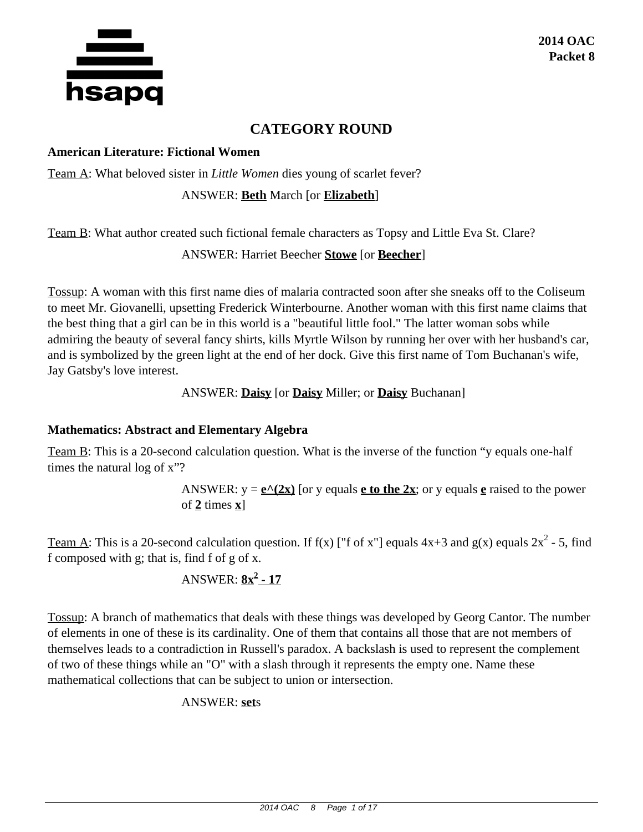

# **CATEGORY ROUND**

#### **American Literature: Fictional Women**

Team A: What beloved sister in *Little Women* dies young of scarlet fever?

#### ANSWER: **Beth** March [or **Elizabeth**]

Team B: What author created such fictional female characters as Topsy and Little Eva St. Clare?

#### ANSWER: Harriet Beecher **Stowe** [or **Beecher**]

Tossup: A woman with this first name dies of malaria contracted soon after she sneaks off to the Coliseum to meet Mr. Giovanelli, upsetting Frederick Winterbourne. Another woman with this first name claims that the best thing that a girl can be in this world is a "beautiful little fool." The latter woman sobs while admiring the beauty of several fancy shirts, kills Myrtle Wilson by running her over with her husband's car, and is symbolized by the green light at the end of her dock. Give this first name of Tom Buchanan's wife, Jay Gatsby's love interest.

ANSWER: **Daisy** [or **Daisy** Miller; or **Daisy** Buchanan]

#### **Mathematics: Abstract and Elementary Algebra**

Team B: This is a 20-second calculation question. What is the inverse of the function "y equals one-half times the natural log of x"?

> ANSWER:  $y = e^{(2x)}$  [or y equals **e** to the 2x; or y equals **e** raised to the power of **2** times **x**]

Team A: This is a 20-second calculation question. If f(x) ["f of x"] equals  $4x+3$  and  $g(x)$  equals  $2x^2$  - 5, find f composed with g; that is, find f of g of x.

## ANSWER: **8x<sup>2</sup> - 17**

Tossup: A branch of mathematics that deals with these things was developed by Georg Cantor. The number of elements in one of these is its cardinality. One of them that contains all those that are not members of themselves leads to a contradiction in Russell's paradox. A backslash is used to represent the complement of two of these things while an "O" with a slash through it represents the empty one. Name these mathematical collections that can be subject to union or intersection.

#### ANSWER: **set**s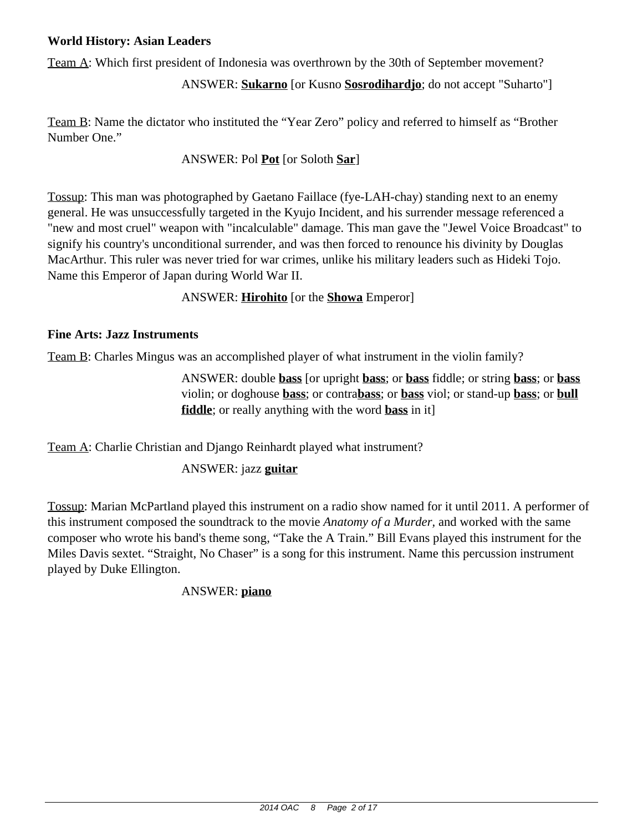### **World History: Asian Leaders**

Team A: Which first president of Indonesia was overthrown by the 30th of September movement?

ANSWER: **Sukarno** [or Kusno **Sosrodihardjo**; do not accept "Suharto"]

Team B: Name the dictator who instituted the "Year Zero" policy and referred to himself as "Brother Number One."

## ANSWER: Pol **Pot** [or Soloth **Sar**]

Tossup: This man was photographed by Gaetano Faillace (fye-LAH-chay) standing next to an enemy general. He was unsuccessfully targeted in the Kyujo Incident, and his surrender message referenced a "new and most cruel" weapon with "incalculable" damage. This man gave the "Jewel Voice Broadcast" to signify his country's unconditional surrender, and was then forced to renounce his divinity by Douglas MacArthur. This ruler was never tried for war crimes, unlike his military leaders such as Hideki Tojo. Name this Emperor of Japan during World War II.

ANSWER: **Hirohito** [or the **Showa** Emperor]

### **Fine Arts: Jazz Instruments**

Team B: Charles Mingus was an accomplished player of what instrument in the violin family?

ANSWER: double **bass** [or upright **bass**; or **bass** fiddle; or string **bass**; or **bass** violin; or doghouse **bass**; or contra**bass**; or **bass** viol; or stand-up **bass**; or **bull fiddle**; or really anything with the word **bass** in it]

Team A: Charlie Christian and Django Reinhardt played what instrument?

## ANSWER: jazz **guitar**

Tossup: Marian McPartland played this instrument on a radio show named for it until 2011. A performer of this instrument composed the soundtrack to the movie *Anatomy of a Murder,* and worked with the same composer who wrote his band's theme song, "Take the A Train." Bill Evans played this instrument for the Miles Davis sextet. "Straight, No Chaser" is a song for this instrument. Name this percussion instrument played by Duke Ellington.

## ANSWER: **piano**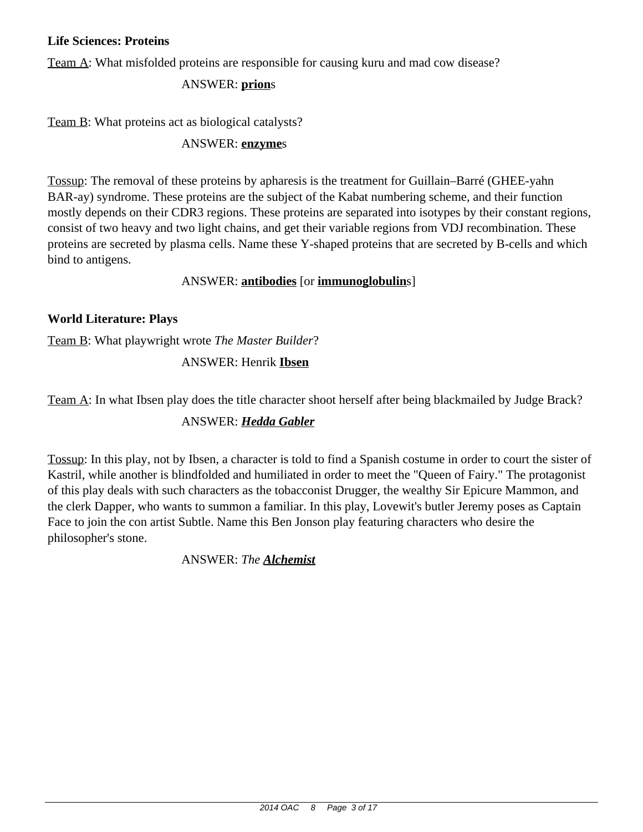#### **Life Sciences: Proteins**

Team A: What misfolded proteins are responsible for causing kuru and mad cow disease?

#### ANSWER: **prion**s

Team B: What proteins act as biological catalysts?

#### ANSWER: **enzyme**s

Tossup: The removal of these proteins by apharesis is the treatment for Guillain–Barré (GHEE-yahn BAR-ay) syndrome. These proteins are the subject of the Kabat numbering scheme, and their function mostly depends on their CDR3 regions. These proteins are separated into isotypes by their constant regions, consist of two heavy and two light chains, and get their variable regions from VDJ recombination. These proteins are secreted by plasma cells. Name these Y-shaped proteins that are secreted by B-cells and which bind to antigens.

#### ANSWER: **antibodies** [or **immunoglobulin**s]

#### **World Literature: Plays**

Team B: What playwright wrote *The Master Builder*?

#### ANSWER: Henrik **Ibsen**

Team A: In what Ibsen play does the title character shoot herself after being blackmailed by Judge Brack?

#### ANSWER: *Hedda Gabler*

Tossup: In this play, not by Ibsen, a character is told to find a Spanish costume in order to court the sister of Kastril, while another is blindfolded and humiliated in order to meet the "Queen of Fairy." The protagonist of this play deals with such characters as the tobacconist Drugger, the wealthy Sir Epicure Mammon, and the clerk Dapper, who wants to summon a familiar. In this play, Lovewit's butler Jeremy poses as Captain Face to join the con artist Subtle. Name this Ben Jonson play featuring characters who desire the philosopher's stone.

ANSWER: *The Alchemist*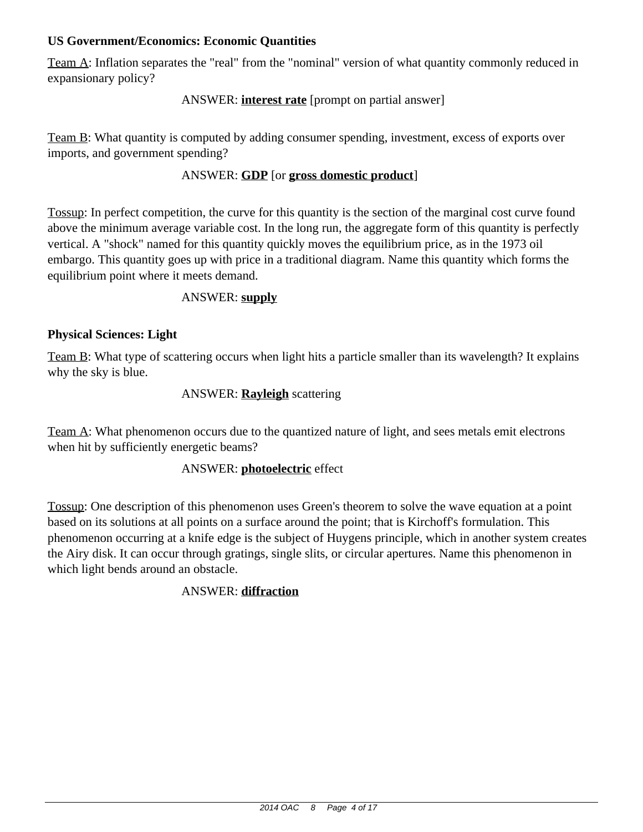### **US Government/Economics: Economic Quantities**

Team A: Inflation separates the "real" from the "nominal" version of what quantity commonly reduced in expansionary policy?

### ANSWER: **interest rate** [prompt on partial answer]

Team B: What quantity is computed by adding consumer spending, investment, excess of exports over imports, and government spending?

### ANSWER: **GDP** [or **gross domestic product**]

Tossup: In perfect competition, the curve for this quantity is the section of the marginal cost curve found above the minimum average variable cost. In the long run, the aggregate form of this quantity is perfectly vertical. A "shock" named for this quantity quickly moves the equilibrium price, as in the 1973 oil embargo. This quantity goes up with price in a traditional diagram. Name this quantity which forms the equilibrium point where it meets demand.

#### ANSWER: **supply**

#### **Physical Sciences: Light**

Team B: What type of scattering occurs when light hits a particle smaller than its wavelength? It explains why the sky is blue.

#### ANSWER: **Rayleigh** scattering

Team A: What phenomenon occurs due to the quantized nature of light, and sees metals emit electrons when hit by sufficiently energetic beams?

#### ANSWER: **photoelectric** effect

Tossup: One description of this phenomenon uses Green's theorem to solve the wave equation at a point based on its solutions at all points on a surface around the point; that is Kirchoff's formulation. This phenomenon occurring at a knife edge is the subject of Huygens principle, which in another system creates the Airy disk. It can occur through gratings, single slits, or circular apertures. Name this phenomenon in which light bends around an obstacle.

#### ANSWER: **diffraction**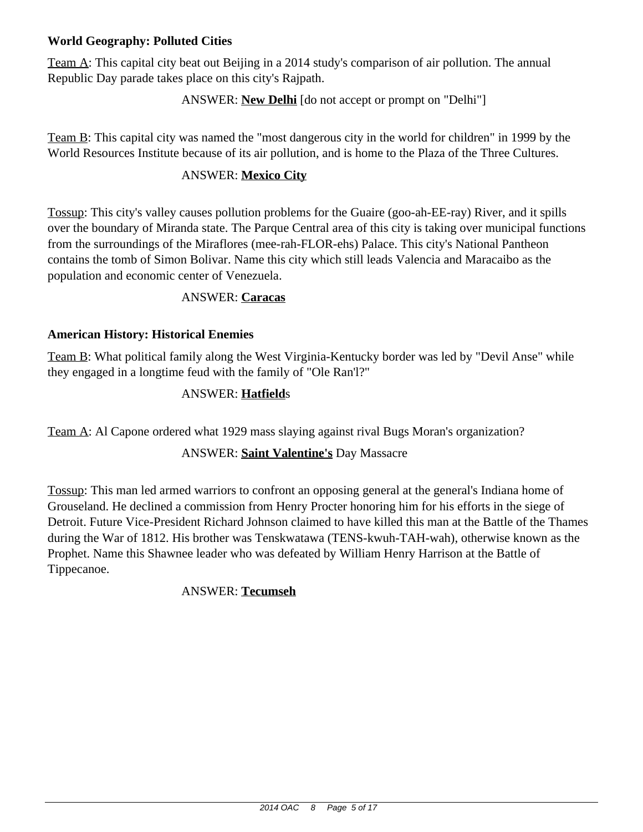## **World Geography: Polluted Cities**

Team A: This capital city beat out Beijing in a 2014 study's comparison of air pollution. The annual Republic Day parade takes place on this city's Rajpath.

#### ANSWER: **New Delhi** [do not accept or prompt on "Delhi"]

Team B: This capital city was named the "most dangerous city in the world for children" in 1999 by the World Resources Institute because of its air pollution, and is home to the Plaza of the Three Cultures.

#### ANSWER: **Mexico City**

Tossup: This city's valley causes pollution problems for the Guaire (goo-ah-EE-ray) River, and it spills over the boundary of Miranda state. The Parque Central area of this city is taking over municipal functions from the surroundings of the Miraflores (mee-rah-FLOR-ehs) Palace. This city's National Pantheon contains the tomb of Simon Bolivar. Name this city which still leads Valencia and Maracaibo as the population and economic center of Venezuela.

#### ANSWER: **Caracas**

#### **American History: Historical Enemies**

Team B: What political family along the West Virginia-Kentucky border was led by "Devil Anse" while they engaged in a longtime feud with the family of "Ole Ran'l?"

### ANSWER: **Hatfield**s

Team A: Al Capone ordered what 1929 mass slaying against rival Bugs Moran's organization?

#### ANSWER: **Saint Valentine's** Day Massacre

Tossup: This man led armed warriors to confront an opposing general at the general's Indiana home of Grouseland. He declined a commission from Henry Procter honoring him for his efforts in the siege of Detroit. Future Vice-President Richard Johnson claimed to have killed this man at the Battle of the Thames during the War of 1812. His brother was Tenskwatawa (TENS-kwuh-TAH-wah), otherwise known as the Prophet. Name this Shawnee leader who was defeated by William Henry Harrison at the Battle of Tippecanoe.

#### ANSWER: **Tecumseh**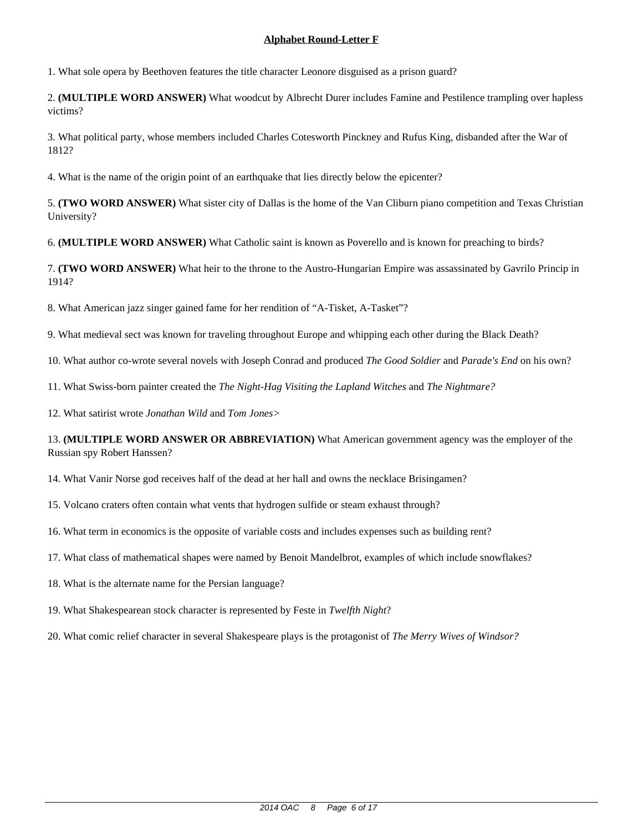1. What sole opera by Beethoven features the title character Leonore disguised as a prison guard?

2. **(MULTIPLE WORD ANSWER)** What woodcut by Albrecht Durer includes Famine and Pestilence trampling over hapless victims?

3. What political party, whose members included Charles Cotesworth Pinckney and Rufus King, disbanded after the War of 1812?

4. What is the name of the origin point of an earthquake that lies directly below the epicenter?

5. **(TWO WORD ANSWER)** What sister city of Dallas is the home of the Van Cliburn piano competition and Texas Christian University?

6. **(MULTIPLE WORD ANSWER)** What Catholic saint is known as Poverello and is known for preaching to birds?

7. **(TWO WORD ANSWER)** What heir to the throne to the Austro-Hungarian Empire was assassinated by Gavrilo Princip in 1914?

8. What American jazz singer gained fame for her rendition of "A-Tisket, A-Tasket"?

9. What medieval sect was known for traveling throughout Europe and whipping each other during the Black Death?

10. What author co-wrote several novels with Joseph Conrad and produced *The Good Soldier* and *Parade's End* on his own?

11. What Swiss-born painter created the *The Night-Hag Visiting the Lapland Witches* and *The Nightmare?*

12. What satirist wrote *Jonathan Wild* and *Tom Jones>*

13. **(MULTIPLE WORD ANSWER OR ABBREVIATION)** What American government agency was the employer of the Russian spy Robert Hanssen?

14. What Vanir Norse god receives half of the dead at her hall and owns the necklace Brisingamen?

15. Volcano craters often contain what vents that hydrogen sulfide or steam exhaust through?

16. What term in economics is the opposite of variable costs and includes expenses such as building rent?

17. What class of mathematical shapes were named by Benoit Mandelbrot, examples of which include snowflakes?

18. What is the alternate name for the Persian language?

19. What Shakespearean stock character is represented by Feste in *Twelfth Night*?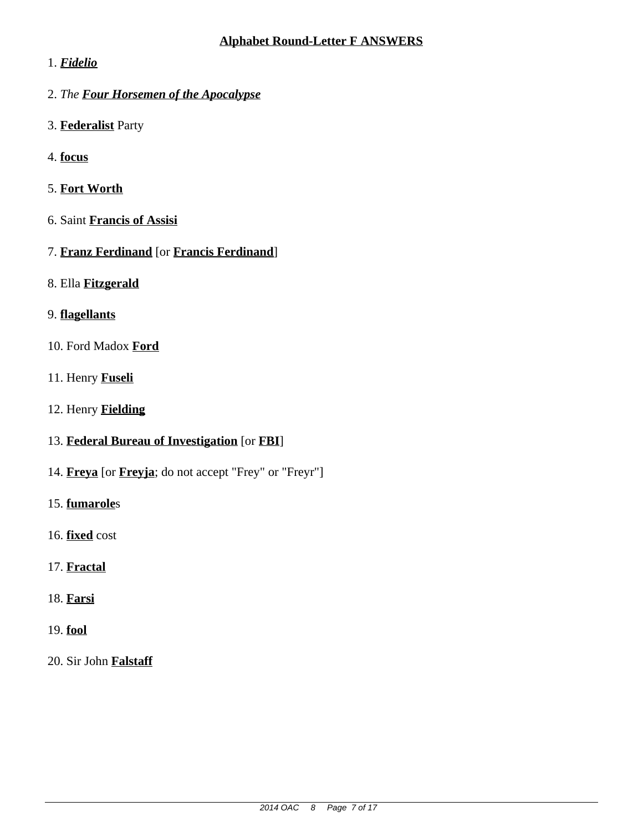## 1. *Fidelio*

- 2. *The Four Horsemen of the Apocalypse*
- 3. **Federalist** Party
- 4. **focus**
- 5. **Fort Worth**
- 6. Saint **Francis of Assisi**
- 7. **Franz Ferdinand** [or **Francis Ferdinand**]
- 8. Ella **Fitzgerald**

# 9. **flagellants**

- 10. Ford Madox **Ford**
- 11. Henry **Fuseli**
- 12. Henry **Fielding**
- 13. **Federal Bureau of Investigation** [or **FBI**]
- 14. **Freya** [or **Freyja**; do not accept "Frey" or "Freyr"]
- 15. **fumarole**s
- 16. **fixed** cost
- 17. **Fractal**
- 18. **Farsi**
- 19. **fool**
- 20. Sir John **Falstaff**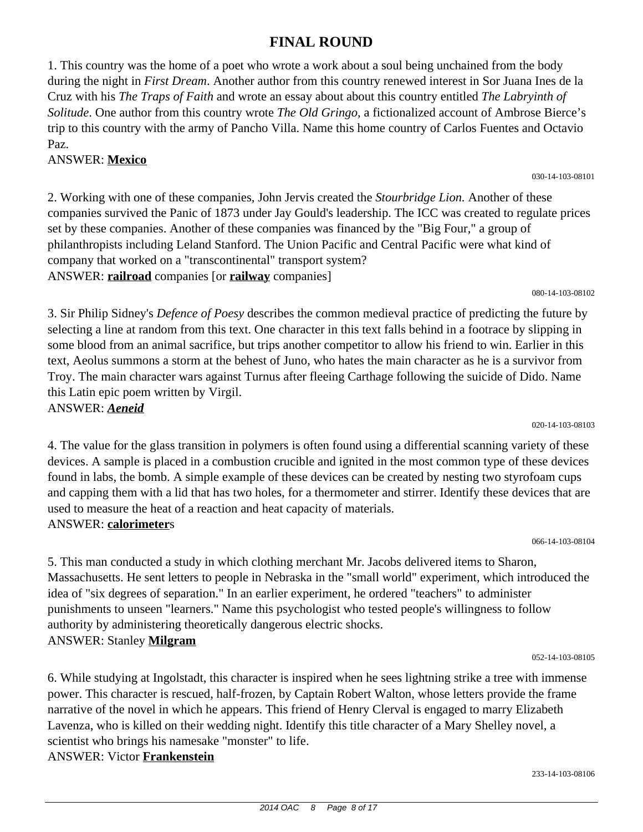#### 2014 OAC 8 Page 8 of 17

**FINAL ROUND**

1. This country was the home of a poet who wrote a work about a soul being unchained from the body during the night in *First Dream*. Another author from this country renewed interest in Sor Juana Ines de la Cruz with his *The Traps of Faith* and wrote an essay about about this country entitled *The Labryinth of Solitude*. One author from this country wrote *The Old Gringo*, a fictionalized account of Ambrose Bierce's trip to this country with the army of Pancho Villa. Name this home country of Carlos Fuentes and Octavio Paz.

#### ANSWER: **Mexico**

2. Working with one of these companies, John Jervis created the *Stourbridge Lion.* Another of these companies survived the Panic of 1873 under Jay Gould's leadership. The ICC was created to regulate prices set by these companies. Another of these companies was financed by the "Big Four," a group of philanthropists including Leland Stanford. The Union Pacific and Central Pacific were what kind of company that worked on a "transcontinental" transport system? ANSWER: **railroad** companies [or **railway** companies]

080-14-103-08102

3. Sir Philip Sidney's *Defence of Poesy* describes the common medieval practice of predicting the future by selecting a line at random from this text. One character in this text falls behind in a footrace by slipping in some blood from an animal sacrifice, but trips another competitor to allow his friend to win. Earlier in this text, Aeolus summons a storm at the behest of Juno, who hates the main character as he is a survivor from Troy. The main character wars against Turnus after fleeing Carthage following the suicide of Dido. Name this Latin epic poem written by Virgil. ANSWER: *Aeneid*

020-14-103-08103

4. The value for the glass transition in polymers is often found using a differential scanning variety of these devices. A sample is placed in a combustion crucible and ignited in the most common type of these devices found in labs, the bomb. A simple example of these devices can be created by nesting two styrofoam cups and capping them with a lid that has two holes, for a thermometer and stirrer. Identify these devices that are used to measure the heat of a reaction and heat capacity of materials. ANSWER: **calorimeter**s

066-14-103-08104

5. This man conducted a study in which clothing merchant Mr. Jacobs delivered items to Sharon, Massachusetts. He sent letters to people in Nebraska in the "small world" experiment, which introduced the idea of "six degrees of separation." In an earlier experiment, he ordered "teachers" to administer punishments to unseen "learners." Name this psychologist who tested people's willingness to follow authority by administering theoretically dangerous electric shocks. ANSWER: Stanley **Milgram**

052-14-103-08105

6. While studying at Ingolstadt, this character is inspired when he sees lightning strike a tree with immense power. This character is rescued, half-frozen, by Captain Robert Walton, whose letters provide the frame narrative of the novel in which he appears. This friend of Henry Clerval is engaged to marry Elizabeth Lavenza, who is killed on their wedding night. Identify this title character of a Mary Shelley novel, a scientist who brings his namesake "monster" to life.

ANSWER: Victor **Frankenstein**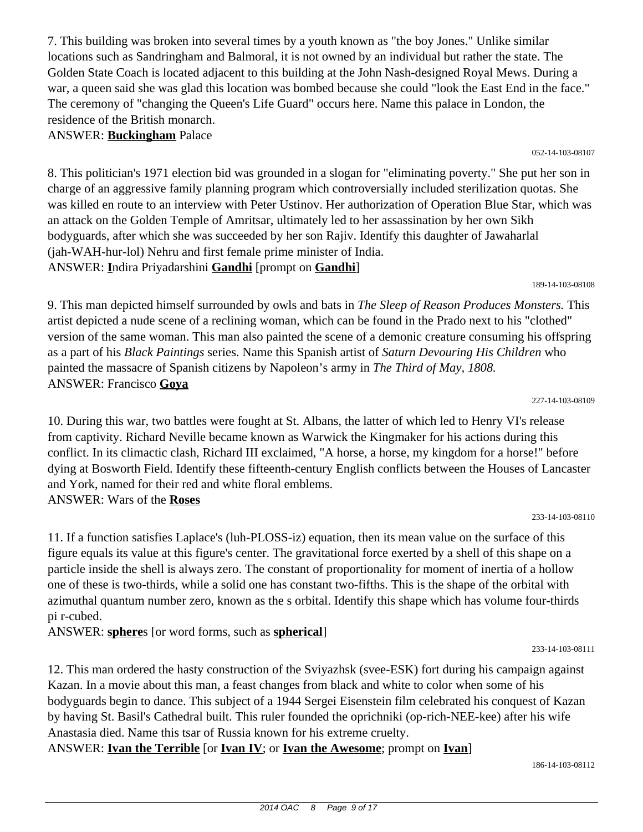7. This building was broken into several times by a youth known as "the boy Jones." Unlike similar locations such as Sandringham and Balmoral, it is not owned by an individual but rather the state. The Golden State Coach is located adjacent to this building at the John Nash-designed Royal Mews. During a war, a queen said she was glad this location was bombed because she could "look the East End in the face." The ceremony of "changing the Queen's Life Guard" occurs here. Name this palace in London, the residence of the British monarch.

## ANSWER: **Buckingham** Palace

8. This politician's 1971 election bid was grounded in a slogan for "eliminating poverty." She put her son in charge of an aggressive family planning program which controversially included sterilization quotas. She was killed en route to an interview with Peter Ustinov. Her authorization of Operation Blue Star, which was an attack on the Golden Temple of Amritsar, ultimately led to her assassination by her own Sikh bodyguards, after which she was succeeded by her son Rajiv. Identify this daughter of Jawaharlal (jah-WAH-hur-lol) Nehru and first female prime minister of India. ANSWER: **I**ndira Priyadarshini **Gandhi** [prompt on **Gandhi**]

189-14-103-08108

052-14-103-08107

9. This man depicted himself surrounded by owls and bats in *The Sleep of Reason Produces Monsters.* This artist depicted a nude scene of a reclining woman, which can be found in the Prado next to his "clothed" version of the same woman. This man also painted the scene of a demonic creature consuming his offspring as a part of his *Black Paintings* series. Name this Spanish artist of *Saturn Devouring His Children* who painted the massacre of Spanish citizens by Napoleon's army in *The Third of May, 1808.* ANSWER: Francisco **Goya**

227-14-103-08109

10. During this war, two battles were fought at St. Albans, the latter of which led to Henry VI's release from captivity. Richard Neville became known as Warwick the Kingmaker for his actions during this conflict. In its climactic clash, Richard III exclaimed, "A horse, a horse, my kingdom for a horse!" before dying at Bosworth Field. Identify these fifteenth-century English conflicts between the Houses of Lancaster and York, named for their red and white floral emblems. ANSWER: Wars of the **Roses**

233-14-103-08110

11. If a function satisfies Laplace's (luh-PLOSS-iz) equation, then its mean value on the surface of this figure equals its value at this figure's center. The gravitational force exerted by a shell of this shape on a particle inside the shell is always zero. The constant of proportionality for moment of inertia of a hollow one of these is two-thirds, while a solid one has constant two-fifths. This is the shape of the orbital with azimuthal quantum number zero, known as the s orbital. Identify this shape which has volume four-thirds pi r-cubed.

ANSWER: **sphere**s [or word forms, such as **spherical**]

12. This man ordered the hasty construction of the Sviyazhsk (svee-ESK) fort during his campaign against Kazan. In a movie about this man, a feast changes from black and white to color when some of his bodyguards begin to dance. This subject of a 1944 Sergei Eisenstein film celebrated his conquest of Kazan by having St. Basil's Cathedral built. This ruler founded the oprichniki (op-rich-NEE-kee) after his wife Anastasia died. Name this tsar of Russia known for his extreme cruelty.

ANSWER: **Ivan the Terrible** [or **Ivan IV**; or **Ivan the Awesome**; prompt on **Ivan**]

186-14-103-08112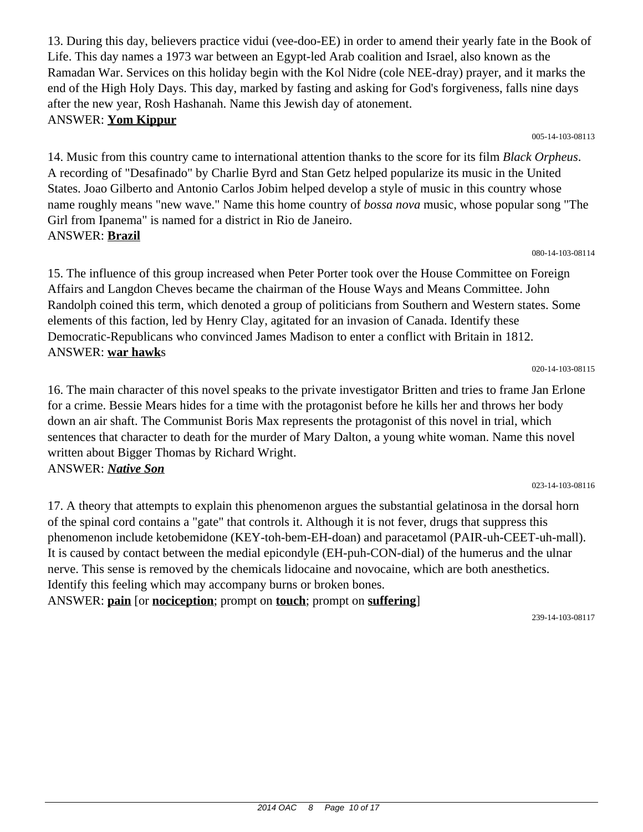13. During this day, believers practice vidui (vee-doo-EE) in order to amend their yearly fate in the Book of Life. This day names a 1973 war between an Egypt-led Arab coalition and Israel, also known as the Ramadan War. Services on this holiday begin with the Kol Nidre (cole NEE-dray) prayer, and it marks the end of the High Holy Days. This day, marked by fasting and asking for God's forgiveness, falls nine days after the new year, Rosh Hashanah. Name this Jewish day of atonement. ANSWER: **Yom Kippur**

005-14-103-08113

14. Music from this country came to international attention thanks to the score for its film *Black Orpheus*. A recording of "Desafinado" by Charlie Byrd and Stan Getz helped popularize its music in the United States. Joao Gilberto and Antonio Carlos Jobim helped develop a style of music in this country whose name roughly means "new wave." Name this home country of *bossa nova* music, whose popular song "The Girl from Ipanema" is named for a district in Rio de Janeiro. ANSWER: **Brazil**

080-14-103-08114

15. The influence of this group increased when Peter Porter took over the House Committee on Foreign Affairs and Langdon Cheves became the chairman of the House Ways and Means Committee. John Randolph coined this term, which denoted a group of politicians from Southern and Western states. Some elements of this faction, led by Henry Clay, agitated for an invasion of Canada. Identify these Democratic-Republicans who convinced James Madison to enter a conflict with Britain in 1812. ANSWER: **war hawk**s

020-14-103-08115

16. The main character of this novel speaks to the private investigator Britten and tries to frame Jan Erlone for a crime. Bessie Mears hides for a time with the protagonist before he kills her and throws her body down an air shaft. The Communist Boris Max represents the protagonist of this novel in trial, which sentences that character to death for the murder of Mary Dalton, a young white woman. Name this novel written about Bigger Thomas by Richard Wright. ANSWER: *Native Son*

17. A theory that attempts to explain this phenomenon argues the substantial gelatinosa in the dorsal horn of the spinal cord contains a "gate" that controls it. Although it is not fever, drugs that suppress this phenomenon include ketobemidone (KEY-toh-bem-EH-doan) and paracetamol (PAIR-uh-CEET-uh-mall). It is caused by contact between the medial epicondyle (EH-puh-CON-dial) of the humerus and the ulnar nerve. This sense is removed by the chemicals lidocaine and novocaine, which are both anesthetics. Identify this feeling which may accompany burns or broken bones.

ANSWER: **pain** [or **nociception**; prompt on **touch**; prompt on **suffering**]

239-14-103-08117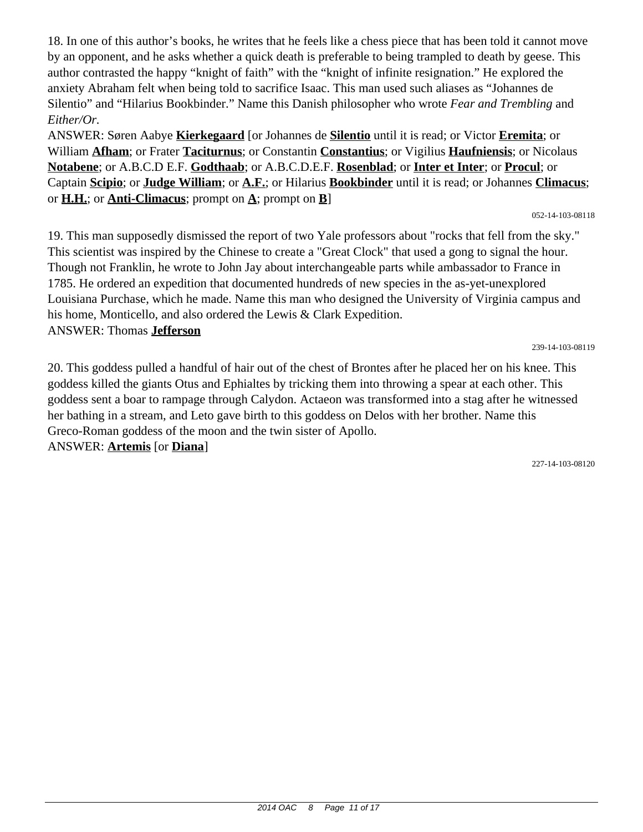18. In one of this author's books, he writes that he feels like a chess piece that has been told it cannot move by an opponent, and he asks whether a quick death is preferable to being trampled to death by geese. This author contrasted the happy "knight of faith" with the "knight of infinite resignation." He explored the anxiety Abraham felt when being told to sacrifice Isaac. This man used such aliases as "Johannes de Silentio" and "Hilarius Bookbinder." Name this Danish philosopher who wrote *Fear and Trembling* and *Either/Or.*

ANSWER: Søren Aabye **Kierkegaard** [or Johannes de **Silentio** until it is read; or Victor **Eremita**; or William **Afham**; or Frater **Taciturnus**; or Constantin **Constantius**; or Vigilius **Haufniensis**; or Nicolaus **Notabene**; or A.B.C.D E.F. **Godthaab**; or A.B.C.D.E.F. **Rosenblad**; or **Inter et Inter**; or **Procul**; or Captain **Scipio**; or **Judge William**; or **A.F.**; or Hilarius **Bookbinder** until it is read; or Johannes **Climacus**; or  $\underline{H.H.}$ ; or  $\underline{Anti-Climacus}$ ; prompt on  $\underline{A}$ ; prompt on  $\underline{B}$ ]

052-14-103-08118

19. This man supposedly dismissed the report of two Yale professors about "rocks that fell from the sky." This scientist was inspired by the Chinese to create a "Great Clock" that used a gong to signal the hour. Though not Franklin, he wrote to John Jay about interchangeable parts while ambassador to France in 1785. He ordered an expedition that documented hundreds of new species in the as-yet-unexplored Louisiana Purchase, which he made. Name this man who designed the University of Virginia campus and his home, Monticello, and also ordered the Lewis & Clark Expedition. ANSWER: Thomas **Jefferson**

239-14-103-08119

20. This goddess pulled a handful of hair out of the chest of Brontes after he placed her on his knee. This goddess killed the giants Otus and Ephialtes by tricking them into throwing a spear at each other. This goddess sent a boar to rampage through Calydon. Actaeon was transformed into a stag after he witnessed her bathing in a stream, and Leto gave birth to this goddess on Delos with her brother. Name this Greco-Roman goddess of the moon and the twin sister of Apollo. ANSWER: **Artemis** [or **Diana**]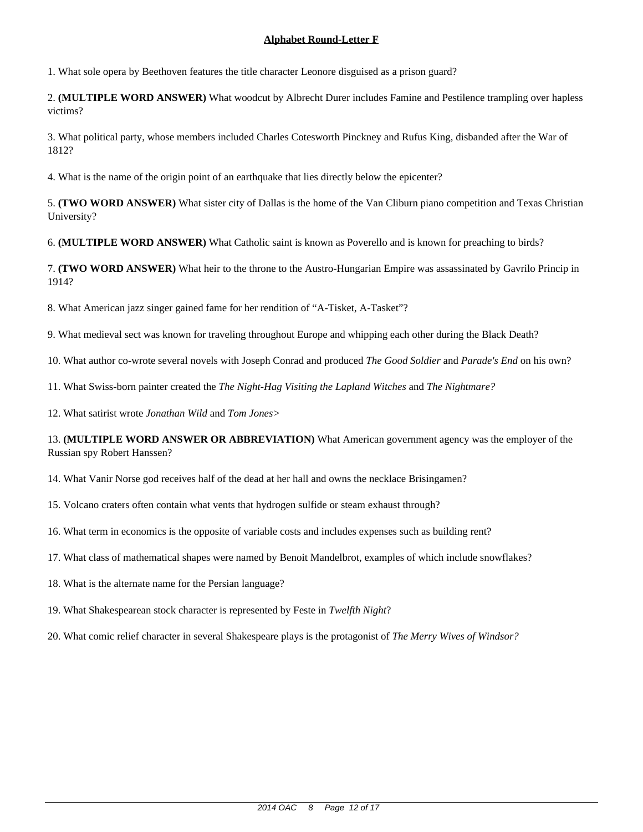1. What sole opera by Beethoven features the title character Leonore disguised as a prison guard?

2. **(MULTIPLE WORD ANSWER)** What woodcut by Albrecht Durer includes Famine and Pestilence trampling over hapless victims?

3. What political party, whose members included Charles Cotesworth Pinckney and Rufus King, disbanded after the War of 1812?

4. What is the name of the origin point of an earthquake that lies directly below the epicenter?

5. **(TWO WORD ANSWER)** What sister city of Dallas is the home of the Van Cliburn piano competition and Texas Christian University?

6. **(MULTIPLE WORD ANSWER)** What Catholic saint is known as Poverello and is known for preaching to birds?

7. **(TWO WORD ANSWER)** What heir to the throne to the Austro-Hungarian Empire was assassinated by Gavrilo Princip in 1914?

8. What American jazz singer gained fame for her rendition of "A-Tisket, A-Tasket"?

9. What medieval sect was known for traveling throughout Europe and whipping each other during the Black Death?

10. What author co-wrote several novels with Joseph Conrad and produced *The Good Soldier* and *Parade's End* on his own?

11. What Swiss-born painter created the *The Night-Hag Visiting the Lapland Witches* and *The Nightmare?*

12. What satirist wrote *Jonathan Wild* and *Tom Jones>*

13. **(MULTIPLE WORD ANSWER OR ABBREVIATION)** What American government agency was the employer of the Russian spy Robert Hanssen?

14. What Vanir Norse god receives half of the dead at her hall and owns the necklace Brisingamen?

15. Volcano craters often contain what vents that hydrogen sulfide or steam exhaust through?

16. What term in economics is the opposite of variable costs and includes expenses such as building rent?

17. What class of mathematical shapes were named by Benoit Mandelbrot, examples of which include snowflakes?

18. What is the alternate name for the Persian language?

19. What Shakespearean stock character is represented by Feste in *Twelfth Night*?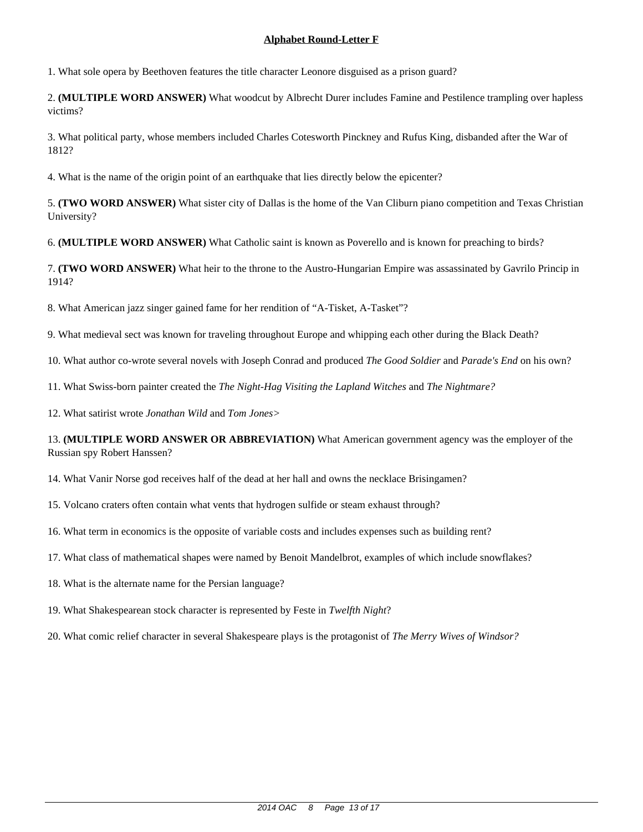1. What sole opera by Beethoven features the title character Leonore disguised as a prison guard?

2. **(MULTIPLE WORD ANSWER)** What woodcut by Albrecht Durer includes Famine and Pestilence trampling over hapless victims?

3. What political party, whose members included Charles Cotesworth Pinckney and Rufus King, disbanded after the War of 1812?

4. What is the name of the origin point of an earthquake that lies directly below the epicenter?

5. **(TWO WORD ANSWER)** What sister city of Dallas is the home of the Van Cliburn piano competition and Texas Christian University?

6. **(MULTIPLE WORD ANSWER)** What Catholic saint is known as Poverello and is known for preaching to birds?

7. **(TWO WORD ANSWER)** What heir to the throne to the Austro-Hungarian Empire was assassinated by Gavrilo Princip in 1914?

8. What American jazz singer gained fame for her rendition of "A-Tisket, A-Tasket"?

9. What medieval sect was known for traveling throughout Europe and whipping each other during the Black Death?

10. What author co-wrote several novels with Joseph Conrad and produced *The Good Soldier* and *Parade's End* on his own?

11. What Swiss-born painter created the *The Night-Hag Visiting the Lapland Witches* and *The Nightmare?*

12. What satirist wrote *Jonathan Wild* and *Tom Jones>*

13. **(MULTIPLE WORD ANSWER OR ABBREVIATION)** What American government agency was the employer of the Russian spy Robert Hanssen?

14. What Vanir Norse god receives half of the dead at her hall and owns the necklace Brisingamen?

15. Volcano craters often contain what vents that hydrogen sulfide or steam exhaust through?

16. What term in economics is the opposite of variable costs and includes expenses such as building rent?

17. What class of mathematical shapes were named by Benoit Mandelbrot, examples of which include snowflakes?

18. What is the alternate name for the Persian language?

19. What Shakespearean stock character is represented by Feste in *Twelfth Night*?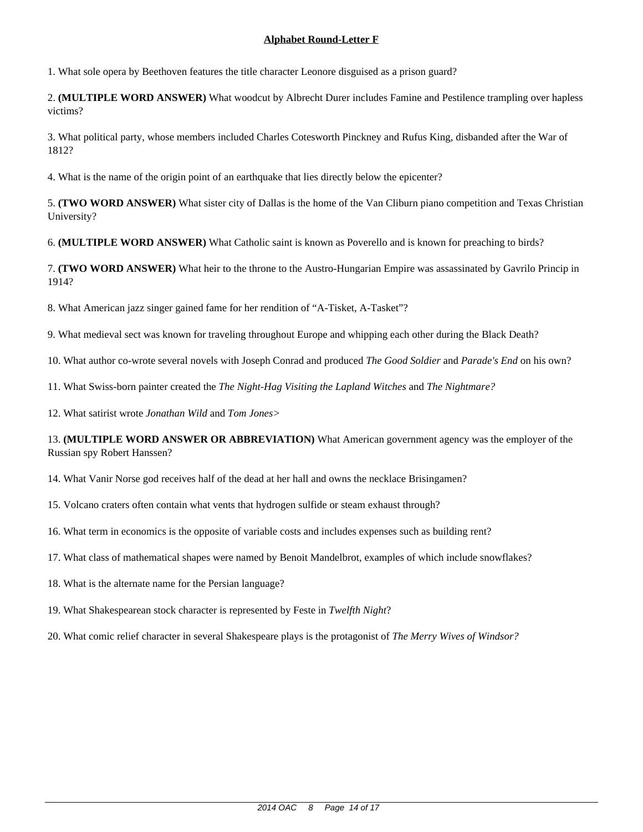1. What sole opera by Beethoven features the title character Leonore disguised as a prison guard?

2. **(MULTIPLE WORD ANSWER)** What woodcut by Albrecht Durer includes Famine and Pestilence trampling over hapless victims?

3. What political party, whose members included Charles Cotesworth Pinckney and Rufus King, disbanded after the War of 1812?

4. What is the name of the origin point of an earthquake that lies directly below the epicenter?

5. **(TWO WORD ANSWER)** What sister city of Dallas is the home of the Van Cliburn piano competition and Texas Christian University?

6. **(MULTIPLE WORD ANSWER)** What Catholic saint is known as Poverello and is known for preaching to birds?

7. **(TWO WORD ANSWER)** What heir to the throne to the Austro-Hungarian Empire was assassinated by Gavrilo Princip in 1914?

8. What American jazz singer gained fame for her rendition of "A-Tisket, A-Tasket"?

9. What medieval sect was known for traveling throughout Europe and whipping each other during the Black Death?

10. What author co-wrote several novels with Joseph Conrad and produced *The Good Soldier* and *Parade's End* on his own?

11. What Swiss-born painter created the *The Night-Hag Visiting the Lapland Witches* and *The Nightmare?*

12. What satirist wrote *Jonathan Wild* and *Tom Jones>*

13. **(MULTIPLE WORD ANSWER OR ABBREVIATION)** What American government agency was the employer of the Russian spy Robert Hanssen?

14. What Vanir Norse god receives half of the dead at her hall and owns the necklace Brisingamen?

15. Volcano craters often contain what vents that hydrogen sulfide or steam exhaust through?

16. What term in economics is the opposite of variable costs and includes expenses such as building rent?

17. What class of mathematical shapes were named by Benoit Mandelbrot, examples of which include snowflakes?

18. What is the alternate name for the Persian language?

19. What Shakespearean stock character is represented by Feste in *Twelfth Night*?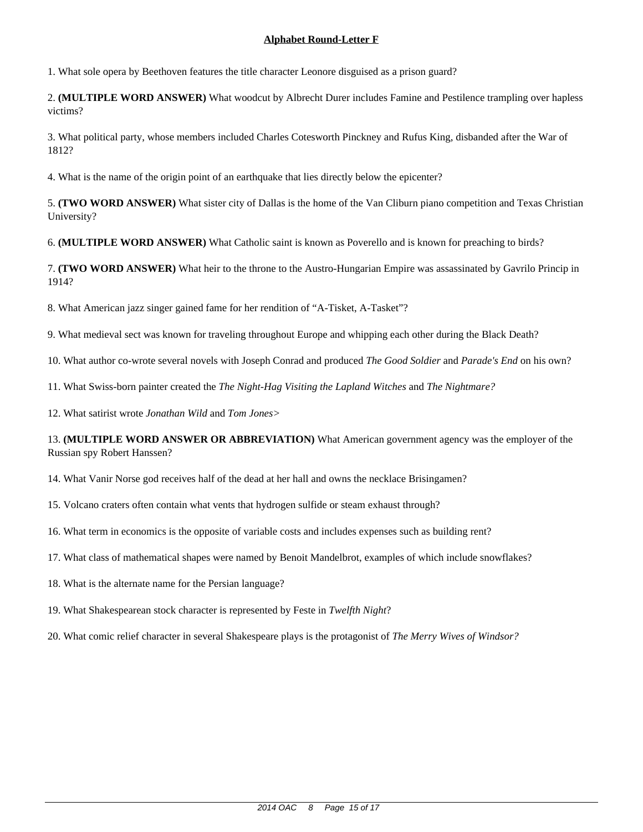1. What sole opera by Beethoven features the title character Leonore disguised as a prison guard?

2. **(MULTIPLE WORD ANSWER)** What woodcut by Albrecht Durer includes Famine and Pestilence trampling over hapless victims?

3. What political party, whose members included Charles Cotesworth Pinckney and Rufus King, disbanded after the War of 1812?

4. What is the name of the origin point of an earthquake that lies directly below the epicenter?

5. **(TWO WORD ANSWER)** What sister city of Dallas is the home of the Van Cliburn piano competition and Texas Christian University?

6. **(MULTIPLE WORD ANSWER)** What Catholic saint is known as Poverello and is known for preaching to birds?

7. **(TWO WORD ANSWER)** What heir to the throne to the Austro-Hungarian Empire was assassinated by Gavrilo Princip in 1914?

8. What American jazz singer gained fame for her rendition of "A-Tisket, A-Tasket"?

9. What medieval sect was known for traveling throughout Europe and whipping each other during the Black Death?

10. What author co-wrote several novels with Joseph Conrad and produced *The Good Soldier* and *Parade's End* on his own?

11. What Swiss-born painter created the *The Night-Hag Visiting the Lapland Witches* and *The Nightmare?*

12. What satirist wrote *Jonathan Wild* and *Tom Jones>*

13. **(MULTIPLE WORD ANSWER OR ABBREVIATION)** What American government agency was the employer of the Russian spy Robert Hanssen?

14. What Vanir Norse god receives half of the dead at her hall and owns the necklace Brisingamen?

15. Volcano craters often contain what vents that hydrogen sulfide or steam exhaust through?

16. What term in economics is the opposite of variable costs and includes expenses such as building rent?

17. What class of mathematical shapes were named by Benoit Mandelbrot, examples of which include snowflakes?

18. What is the alternate name for the Persian language?

19. What Shakespearean stock character is represented by Feste in *Twelfth Night*?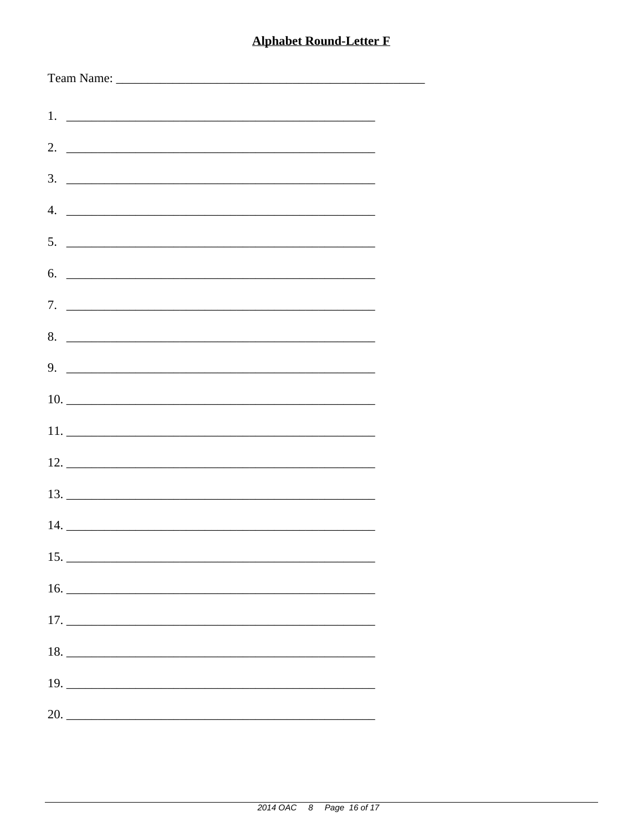| 3.<br><u> 1988 - Johann Stoff, deutscher Stoffen und der Stoffen und der Stoffen und der Stoffen und der Stoffen und der Stoffen und der Stoffen und der Stoffen und der Stoffen und der Stoffen und der Stoffen und der Stoffen und d</u> |
|--------------------------------------------------------------------------------------------------------------------------------------------------------------------------------------------------------------------------------------------|
|                                                                                                                                                                                                                                            |
| $5.$ $\overline{\phantom{a}}$                                                                                                                                                                                                              |
| $6.$ $\overline{\phantom{a}}$                                                                                                                                                                                                              |
|                                                                                                                                                                                                                                            |
|                                                                                                                                                                                                                                            |
|                                                                                                                                                                                                                                            |
|                                                                                                                                                                                                                                            |
|                                                                                                                                                                                                                                            |
|                                                                                                                                                                                                                                            |
|                                                                                                                                                                                                                                            |
|                                                                                                                                                                                                                                            |
|                                                                                                                                                                                                                                            |
|                                                                                                                                                                                                                                            |
|                                                                                                                                                                                                                                            |
| 18.                                                                                                                                                                                                                                        |
|                                                                                                                                                                                                                                            |
| 20.                                                                                                                                                                                                                                        |